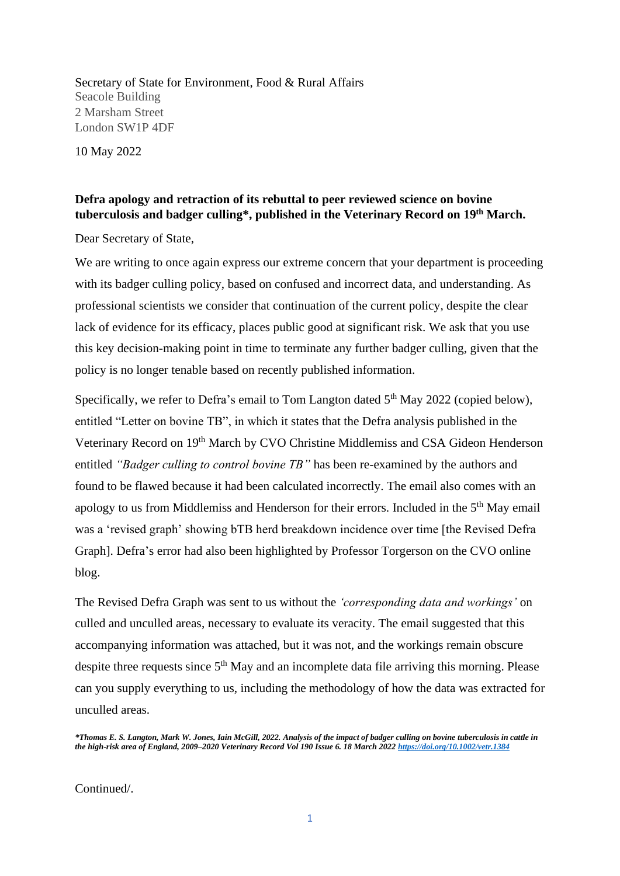Secretary of State for Environment, Food & Rural Affairs Seacole Building 2 Marsham Street London SW1P 4DF

10 May 2022

## **Defra apology and retraction of its rebuttal to peer reviewed science on bovine tuberculosis and badger culling\*, published in the Veterinary Record on 19 th March.**

Dear Secretary of State,

We are writing to once again express our extreme concern that your department is proceeding with its badger culling policy, based on confused and incorrect data, and understanding. As professional scientists we consider that continuation of the current policy, despite the clear lack of evidence for its efficacy, places public good at significant risk. We ask that you use this key decision-making point in time to terminate any further badger culling, given that the policy is no longer tenable based on recently published information.

Specifically, we refer to Defra's email to Tom Langton dated  $5<sup>th</sup>$  May 2022 (copied below), entitled "Letter on bovine TB", in which it states that the Defra analysis published in the Veterinary Record on 19<sup>th</sup> March by CVO Christine Middlemiss and CSA Gideon Henderson entitled *"Badger culling to control bovine TB"* has been re-examined by the authors and found to be flawed because it had been calculated incorrectly. The email also comes with an apology to us from Middlemiss and Henderson for their errors. Included in the 5<sup>th</sup> May email was a 'revised graph' showing bTB herd breakdown incidence over time [the Revised Defra Graph]. Defra's error had also been highlighted by Professor Torgerson on the CVO online blog.

The Revised Defra Graph was sent to us without the *'corresponding data and workings'* on culled and unculled areas, necessary to evaluate its veracity. The email suggested that this accompanying information was attached, but it was not, and the workings remain obscure despite three requests since 5<sup>th</sup> May and an incomplete data file arriving this morning. Please can you supply everything to us, including the methodology of how the data was extracted for unculled areas.

*\*Thomas E. S. Langton, Mark W. Jones, Iain McGill, 2022. Analysis of the impact of badger culling on bovine tuberculosis in cattle in the high-risk area of England, 2009–2020 Veterinary Record Vol 190 Issue 6. 18 March 202[2 https://doi.org/10.1002/vetr.1384](https://doi.org/10.1002/vetr.1384)*

Continued/.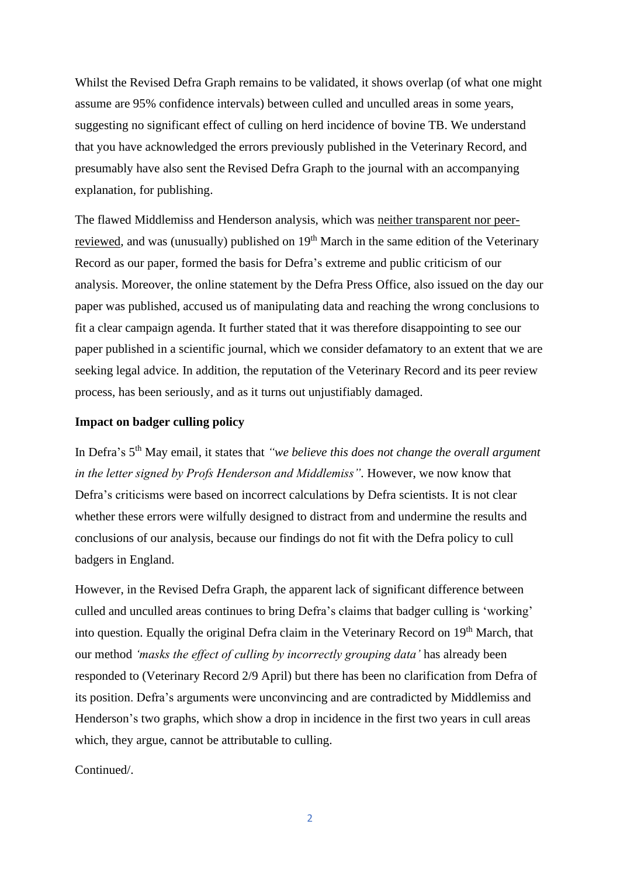Whilst the Revised Defra Graph remains to be validated, it shows overlap (of what one might assume are 95% confidence intervals) between culled and unculled areas in some years, suggesting no significant effect of culling on herd incidence of bovine TB. We understand that you have acknowledged the errors previously published in the Veterinary Record, and presumably have also sent the Revised Defra Graph to the journal with an accompanying explanation, for publishing.

The flawed Middlemiss and Henderson analysis, which was neither transparent nor peerreviewed, and was (unusually) published on 19<sup>th</sup> March in the same edition of the Veterinary Record as our paper, formed the basis for Defra's extreme and public criticism of our analysis. Moreover, the online statement by the Defra Press Office, also issued on the day our paper was published, accused us of manipulating data and reaching the wrong conclusions to fit a clear campaign agenda. It further stated that it was therefore disappointing to see our paper published in a scientific journal, which we consider defamatory to an extent that we are seeking legal advice. In addition, the reputation of the Veterinary Record and its peer review process, has been seriously, and as it turns out unjustifiably damaged.

## **Impact on badger culling policy**

In Defra's 5<sup>th</sup> May email, it states that *"we believe this does not change the overall argument in the letter signed by Profs Henderson and Middlemiss".* However, we now know that Defra's criticisms were based on incorrect calculations by Defra scientists. It is not clear whether these errors were wilfully designed to distract from and undermine the results and conclusions of our analysis, because our findings do not fit with the Defra policy to cull badgers in England.

However, in the Revised Defra Graph, the apparent lack of significant difference between culled and unculled areas continues to bring Defra's claims that badger culling is 'working' into question. Equally the original Defra claim in the Veterinary Record on 19<sup>th</sup> March, that our method *'masks the effect of culling by incorrectly grouping data'* has already been responded to (Veterinary Record 2/9 April) but there has been no clarification from Defra of its position. Defra's arguments were unconvincing and are contradicted by Middlemiss and Henderson's two graphs, which show a drop in incidence in the first two years in cull areas which, they argue, cannot be attributable to culling.

Continued/.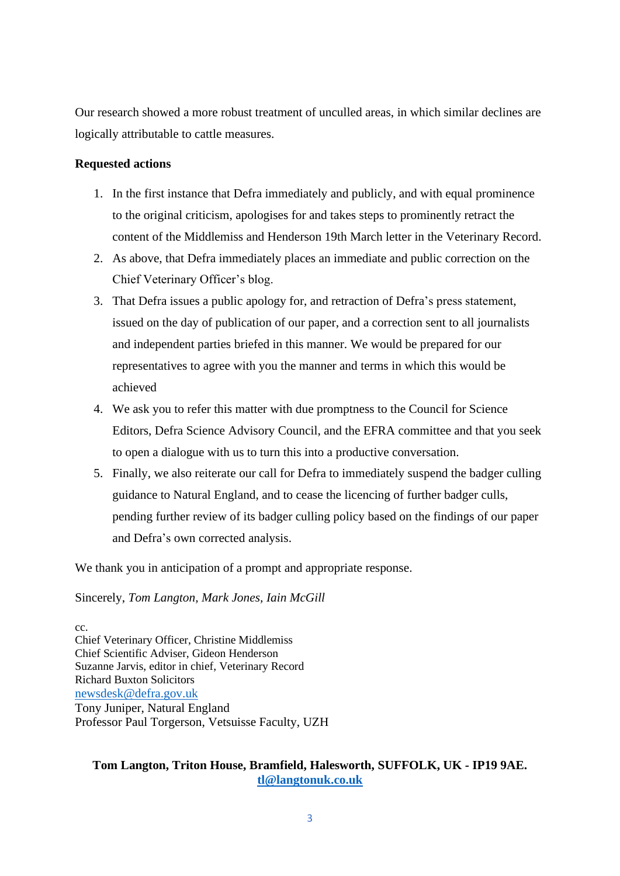Our research showed a more robust treatment of unculled areas, in which similar declines are logically attributable to cattle measures.

## **Requested actions**

- 1. In the first instance that Defra immediately and publicly, and with equal prominence to the original criticism, apologises for and takes steps to prominently retract the content of the Middlemiss and Henderson 19th March letter in the Veterinary Record.
- 2. As above, that Defra immediately places an immediate and public correction on the Chief Veterinary Officer's blog.
- 3. That Defra issues a public apology for, and retraction of Defra's press statement, issued on the day of publication of our paper, and a correction sent to all journalists and independent parties briefed in this manner. We would be prepared for our representatives to agree with you the manner and terms in which this would be achieved
- 4. We ask you to refer this matter with due promptness to the Council for Science Editors, Defra Science Advisory Council, and the EFRA committee and that you seek to open a dialogue with us to turn this into a productive conversation.
- 5. Finally, we also reiterate our call for Defra to immediately suspend the badger culling guidance to Natural England, and to cease the licencing of further badger culls, pending further review of its badger culling policy based on the findings of our paper and Defra's own corrected analysis.

We thank you in anticipation of a prompt and appropriate response.

Sincerely, *Tom Langton, Mark Jones, Iain McGill*

cc. Chief Veterinary Officer, Christine Middlemiss Chief Scientific Adviser, Gideon Henderson Suzanne Jarvis, editor in chief, Veterinary Record Richard Buxton Solicitors [newsdesk@defra.gov.uk](mailto:newsdesk@defra.gov.uk) Tony Juniper, Natural England Professor Paul Torgerson, Vetsuisse Faculty, UZH

## **Tom Langton, Triton House, Bramfield, Halesworth, SUFFOLK, UK - IP19 9AE. [tl@langtonuk.co.uk](mailto:tl@langtonuk.co.uk)**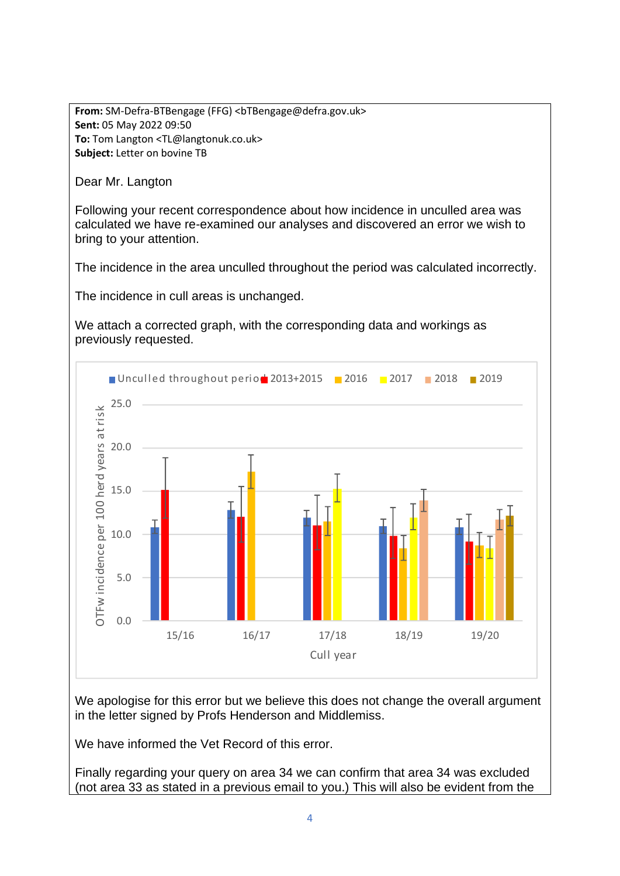**From:** SM-Defra-BTBengage (FFG) <bTBengage@defra.gov.uk> **Sent:** 05 May 2022 09:50 **To:** Tom Langton <TL@langtonuk.co.uk> **Subject:** Letter on bovine TB

Dear Mr. Langton

Following your recent correspondence about how incidence in unculled area was calculated we have re-examined our analyses and discovered an error we wish to bring to your attention.

The incidence in the area unculled throughout the period was calculated incorrectly.

The incidence in cull areas is unchanged.

We attach a corrected graph, with the corresponding data and workings as previously requested.



We apologise for this error but we believe this does not change the overall argument in the letter signed by Profs Henderson and Middlemiss.

We have informed the Vet Record of this error.

Finally regarding your query on area 34 we can confirm that area 34 was excluded (not area 33 as stated in a previous email to you.) This will also be evident from the